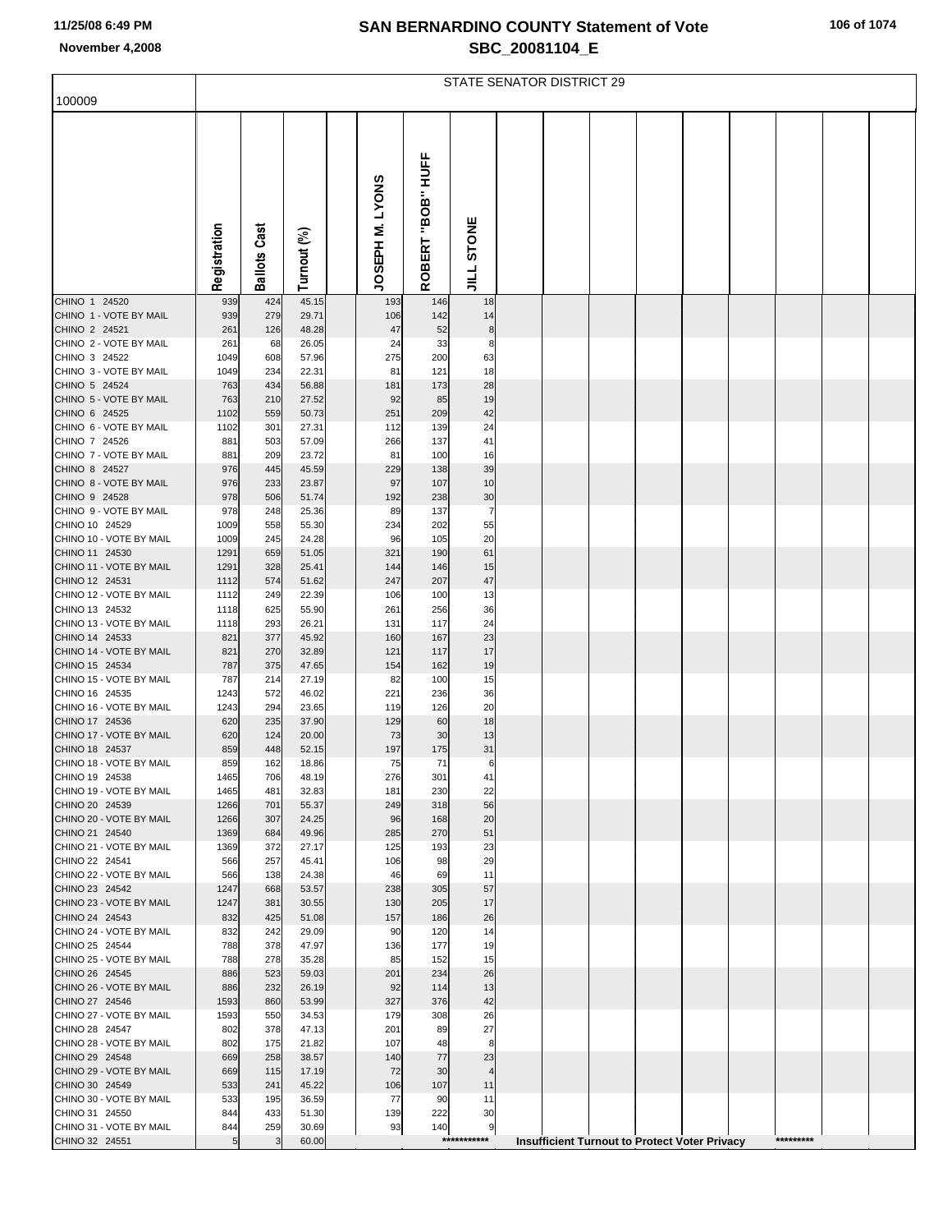|  | 106 of 1074 |  |  |
|--|-------------|--|--|
|--|-------------|--|--|

|                                           | <b>STATE SENATOR DISTRICT 29</b> |                     |                |  |                 |                                |                    |  |  |  |  |                                                      |  |           |  |  |
|-------------------------------------------|----------------------------------|---------------------|----------------|--|-----------------|--------------------------------|--------------------|--|--|--|--|------------------------------------------------------|--|-----------|--|--|
| 100009                                    |                                  |                     |                |  |                 |                                |                    |  |  |  |  |                                                      |  |           |  |  |
|                                           | Registration                     | <b>Ballots Cast</b> | Turnout (%)    |  | JOSEPH M. LYONS | HOFF<br>"BOB"<br><b>ROBERT</b> | STONE<br>$\vec{=}$ |  |  |  |  |                                                      |  |           |  |  |
| CHINO 1 24520                             | 939                              | 424                 | 45.15          |  | 193             | 146                            | 18                 |  |  |  |  |                                                      |  |           |  |  |
| CHINO 1 - VOTE BY MAIL<br>CHINO 2 24521   | 939<br>261                       | 279<br>126          | 29.71<br>48.28 |  | 106<br>47       | 142<br>52                      | 14<br>8            |  |  |  |  |                                                      |  |           |  |  |
| CHINO 2 - VOTE BY MAIL                    | 261                              | 68                  | 26.05          |  | 24              | 33                             | 8                  |  |  |  |  |                                                      |  |           |  |  |
| CHINO 3 24522                             | 1049                             | 608                 | 57.96          |  | 275             | 200                            | 63                 |  |  |  |  |                                                      |  |           |  |  |
| CHINO 3 - VOTE BY MAIL<br>CHINO 5 24524   | 1049<br>763                      | 234<br>434          | 22.31<br>56.88 |  | 81<br>181       | 121<br>173                     | 18<br>28           |  |  |  |  |                                                      |  |           |  |  |
| CHINO 5 - VOTE BY MAIL                    | 763                              | 210                 | 27.52          |  | 92              | 85                             | 19                 |  |  |  |  |                                                      |  |           |  |  |
| CHINO 6 24525                             | 1102                             | 559                 | 50.73          |  | 251             | 209                            | 42                 |  |  |  |  |                                                      |  |           |  |  |
| CHINO 6 - VOTE BY MAIL<br>CHINO 7 24526   | 1102<br>881                      | 301<br>503          | 27.31<br>57.09 |  | 112<br>266      | 139<br>137                     | 24<br>41           |  |  |  |  |                                                      |  |           |  |  |
| CHINO 7 - VOTE BY MAIL                    | 881                              | 209                 | 23.72          |  | 81              | 100                            | 16                 |  |  |  |  |                                                      |  |           |  |  |
| CHINO 8 24527                             | 976                              | 445                 | 45.59          |  | 229             | 138                            | 39                 |  |  |  |  |                                                      |  |           |  |  |
| CHINO 8 - VOTE BY MAIL<br>CHINO 9 24528   | 976<br>978                       | 233<br>506          | 23.87<br>51.74 |  | 97<br>192       | 107<br>238                     | 10<br>30           |  |  |  |  |                                                      |  |           |  |  |
| CHINO 9 - VOTE BY MAIL                    | 978                              | 248                 | 25.36          |  | 89              | 137                            | 7                  |  |  |  |  |                                                      |  |           |  |  |
| CHINO 10 24529                            | 1009                             | 558                 | 55.30          |  | 234             | 202                            | 55                 |  |  |  |  |                                                      |  |           |  |  |
| CHINO 10 - VOTE BY MAIL<br>CHINO 11 24530 | 1009                             | 245                 | 24.28          |  | 96              | 105                            | 20                 |  |  |  |  |                                                      |  |           |  |  |
| CHINO 11 - VOTE BY MAIL                   | 1291<br>1291                     | 659<br>328          | 51.05<br>25.41 |  | 321<br>144      | 190<br>146                     | 61<br>15           |  |  |  |  |                                                      |  |           |  |  |
| CHINO 12 24531                            | 1112                             | 574                 | 51.62          |  | 247             | 207                            | 47                 |  |  |  |  |                                                      |  |           |  |  |
| CHINO 12 - VOTE BY MAIL                   | 1112                             | 249                 | 22.39          |  | 106             | 100                            | 13                 |  |  |  |  |                                                      |  |           |  |  |
| CHINO 13 24532<br>CHINO 13 - VOTE BY MAIL | 1118<br>1118                     | 625<br>293          | 55.90<br>26.21 |  | 261<br>131      | 256<br>117                     | 36<br>24           |  |  |  |  |                                                      |  |           |  |  |
| CHINO 14 24533                            | 821                              | 377                 | 45.92          |  | 160             | 167                            | 23                 |  |  |  |  |                                                      |  |           |  |  |
| CHINO 14 - VOTE BY MAIL                   | 821                              | 270                 | 32.89          |  | 121             | 117                            | 17                 |  |  |  |  |                                                      |  |           |  |  |
| CHINO 15 24534<br>CHINO 15 - VOTE BY MAIL | 787<br>787                       | 375<br>214          | 47.65<br>27.19 |  | 154<br>82       | 162<br>100                     | 19<br>15           |  |  |  |  |                                                      |  |           |  |  |
| CHINO 16 24535                            | 1243                             | 572                 | 46.02          |  | 221             | 236                            | 36                 |  |  |  |  |                                                      |  |           |  |  |
| CHINO 16 - VOTE BY MAIL                   | 1243                             | 294                 | 23.65          |  | 119             | 126                            | 20                 |  |  |  |  |                                                      |  |           |  |  |
| CHINO 17 24536<br>CHINO 17 - VOTE BY MAIL | 620<br>620                       | 235<br>124          | 37.90<br>20.00 |  | 129<br>73       | 60<br>30                       | 18<br>13           |  |  |  |  |                                                      |  |           |  |  |
| CHINO 18 24537                            | 859                              | 448                 | 52.15          |  | 197             | 175                            | 31                 |  |  |  |  |                                                      |  |           |  |  |
| CHINO 18 - VOTE BY MAIL                   | 859                              | 162                 | 18.86          |  | 75              | 71                             | 6                  |  |  |  |  |                                                      |  |           |  |  |
| CHINO 19 24538<br>CHINO 19 - VOTE BY MAIL | 1465<br>1465                     | 706<br>481          | 48.19<br>32.83 |  | 276<br>181      | 301<br>230                     | 41<br>22           |  |  |  |  |                                                      |  |           |  |  |
| CHINO 20 24539                            | 1266                             | 701                 | 55.37          |  | 249             | 318                            | 56                 |  |  |  |  |                                                      |  |           |  |  |
| CHINO 20 - VOTE BY MAIL                   | 1266                             | 307                 | 24.25          |  | 96              | 168                            | 20                 |  |  |  |  |                                                      |  |           |  |  |
| CHINO 21 24540<br>CHINO 21 - VOTE BY MAIL | 1369<br>1369                     | 684<br>372          | 49.96<br>27.17 |  | 285<br>125      | 270<br>193                     | 51<br>23           |  |  |  |  |                                                      |  |           |  |  |
| CHINO 22 24541                            | 566                              | 257                 | 45.41          |  | 106             | 98                             | 29                 |  |  |  |  |                                                      |  |           |  |  |
| CHINO 22 - VOTE BY MAIL                   | 566                              | 138                 | 24.38          |  | 46              | 69                             | 11                 |  |  |  |  |                                                      |  |           |  |  |
| CHINO 23 24542<br>CHINO 23 - VOTE BY MAIL | 1247<br>1247                     | 668<br>381          | 53.57<br>30.55 |  | 238<br>130      | 305<br>205                     | 57<br>17           |  |  |  |  |                                                      |  |           |  |  |
| CHINO 24 24543                            | 832                              | 425                 | 51.08          |  | 157             | 186                            | 26                 |  |  |  |  |                                                      |  |           |  |  |
| CHINO 24 - VOTE BY MAIL                   | 832                              | 242                 | 29.09          |  | 90              | 120                            | 14                 |  |  |  |  |                                                      |  |           |  |  |
| CHINO 25 24544<br>CHINO 25 - VOTE BY MAIL | 788<br>788                       | 378<br>278          | 47.97<br>35.28 |  | 136<br>85       | 177<br>152                     | 19<br>15           |  |  |  |  |                                                      |  |           |  |  |
| CHINO 26 24545                            | 886                              | 523                 | 59.03          |  | 201             | 234                            | 26                 |  |  |  |  |                                                      |  |           |  |  |
| CHINO 26 - VOTE BY MAIL                   | 886                              | 232                 | 26.19          |  | 92              | 114                            | 13                 |  |  |  |  |                                                      |  |           |  |  |
| CHINO 27 24546<br>CHINO 27 - VOTE BY MAIL | 1593<br>1593                     | 860<br>550          | 53.99<br>34.53 |  | 327<br>179      | 376<br>308                     | 42<br>26           |  |  |  |  |                                                      |  |           |  |  |
| CHINO 28 24547                            | 802                              | 378                 | 47.13          |  | 201             | 89                             | 27                 |  |  |  |  |                                                      |  |           |  |  |
| CHINO 28 - VOTE BY MAIL                   | 802                              | 175                 | 21.82          |  | 107             | 48                             | 8                  |  |  |  |  |                                                      |  |           |  |  |
| CHINO 29 24548                            | 669                              | 258                 | 38.57          |  | 140             | 77                             | 23                 |  |  |  |  |                                                      |  |           |  |  |
| CHINO 29 - VOTE BY MAIL<br>CHINO 30 24549 | 669<br>533                       | 115<br>241          | 17.19<br>45.22 |  | 72<br>106       | 30<br>107                      | 4<br>11            |  |  |  |  |                                                      |  |           |  |  |
| CHINO 30 - VOTE BY MAIL                   | 533                              | 195                 | 36.59          |  | 77              | 90                             | 11                 |  |  |  |  |                                                      |  |           |  |  |
| CHINO 31 24550                            | 844                              | 433                 | 51.30          |  | 139             | 222                            | 30                 |  |  |  |  |                                                      |  |           |  |  |
| CHINO 31 - VOTE BY MAIL<br>CHINO 32 24551 | 844<br>5                         | 259<br>3            | 30.69<br>60.00 |  | 93              | 140                            | 9<br>***********   |  |  |  |  | <b>Insufficient Turnout to Protect Voter Privacy</b> |  | ********* |  |  |
|                                           |                                  |                     |                |  |                 |                                |                    |  |  |  |  |                                                      |  |           |  |  |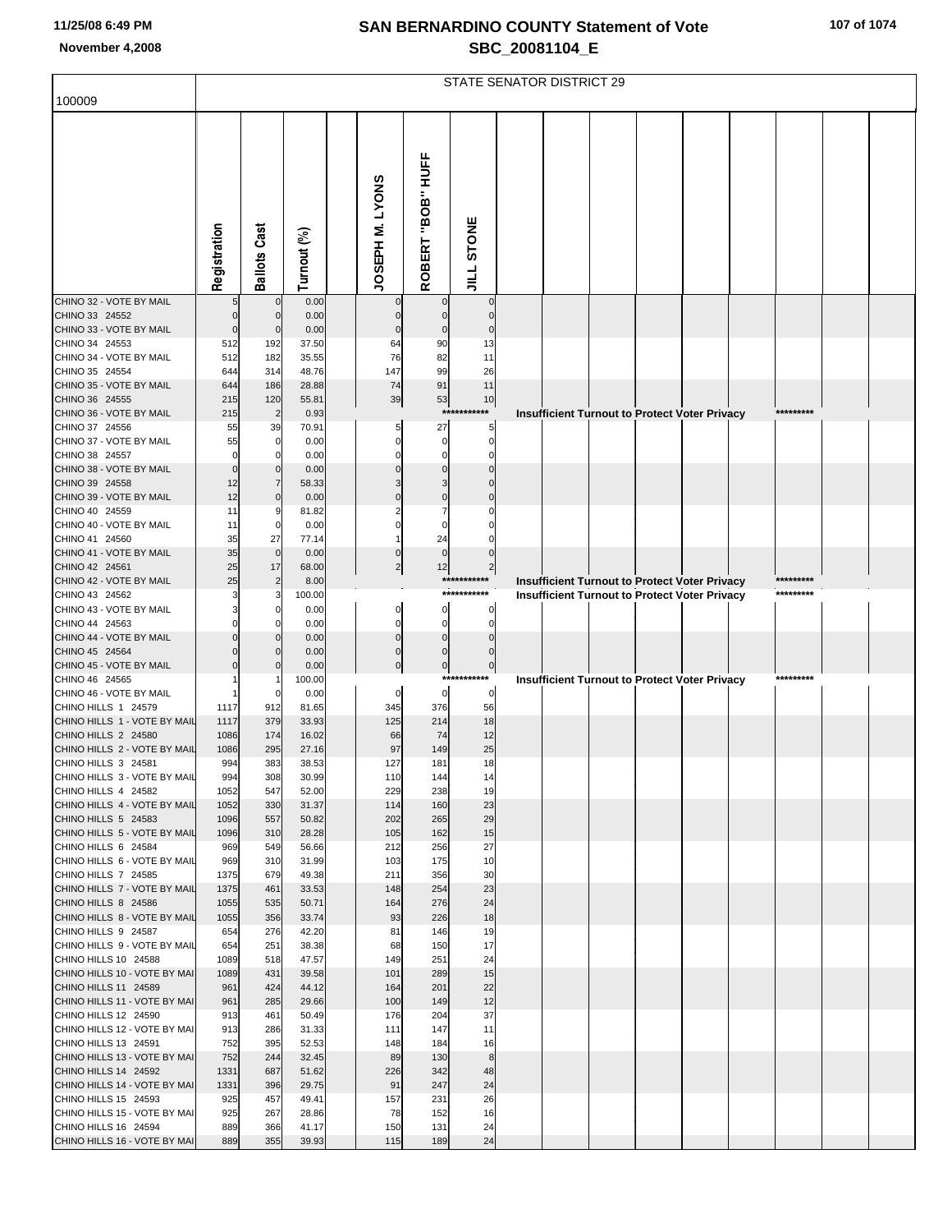|                                                      | <b>STATE SENATOR DISTRICT 29</b> |                            |                |  |                            |                            |                            |  |                                                      |  |  |  |  |           |  |
|------------------------------------------------------|----------------------------------|----------------------------|----------------|--|----------------------------|----------------------------|----------------------------|--|------------------------------------------------------|--|--|--|--|-----------|--|
| 100009                                               |                                  |                            |                |  |                            |                            |                            |  |                                                      |  |  |  |  |           |  |
|                                                      |                                  |                            |                |  |                            |                            |                            |  |                                                      |  |  |  |  |           |  |
|                                                      | Registration                     | <b>Ballots Cast</b>        | Turnout (%)    |  | JOSEPH M. LYONS            | "BOB" HUFF<br>ROBERT       | JILL STONE                 |  |                                                      |  |  |  |  |           |  |
| CHINO 32 - VOTE BY MAIL                              |                                  | $\mathbf 0$                | 0.00           |  | $\mathbf 0$                | $\mathbf 0$                | $\mathbf 0$                |  |                                                      |  |  |  |  |           |  |
| CHINO 33 24552<br>CHINO 33 - VOTE BY MAIL            | $\mathcal{C}$                    | $\mathbf 0$<br>$\mathbf 0$ | 0.00<br>0.00   |  | $\mathbf 0$<br>$\mathbf 0$ | $\mathbf 0$<br>$\mathbf 0$ | $\mathbf 0$<br>$\Omega$    |  |                                                      |  |  |  |  |           |  |
| CHINO 34 24553                                       | 512                              | 192                        | 37.50          |  | 64                         | 90                         | 13                         |  |                                                      |  |  |  |  |           |  |
| CHINO 34 - VOTE BY MAIL                              | 512                              | 182                        | 35.55          |  | 76                         | 82                         | 11                         |  |                                                      |  |  |  |  |           |  |
| CHINO 35 24554                                       | 644                              | 314                        | 48.76          |  | 147                        | 99                         | 26                         |  |                                                      |  |  |  |  |           |  |
| CHINO 35 - VOTE BY MAIL<br>CHINO 36 24555            | 644<br>215                       | 186                        | 28.88          |  | 74<br>39                   | 91                         | 11<br>10                   |  |                                                      |  |  |  |  |           |  |
| CHINO 36 - VOTE BY MAIL                              | 215                              | 120<br>$\overline{2}$      | 55.81<br>0.93  |  |                            | 53<br>$***$                | ****                       |  | Insufficient Turnout to Protect Voter Privacy        |  |  |  |  | ********* |  |
| CHINO 37 24556                                       | 55                               | 39                         | 70.91          |  |                            | 27                         | 5                          |  |                                                      |  |  |  |  |           |  |
| CHINO 37 - VOTE BY MAIL                              | 55                               | 0                          | 0.00           |  | O                          | $\mathbf 0$                | $\mathbf 0$                |  |                                                      |  |  |  |  |           |  |
| CHINO 38 24557                                       | $\epsilon$                       | O                          | 0.00           |  | O                          | $\mathbf 0$                | $\mathbf 0$                |  |                                                      |  |  |  |  |           |  |
| CHINO 38 - VOTE BY MAIL<br>CHINO 39 24558            | 12                               | $\Omega$<br>$\overline{7}$ | 0.00<br>58.33  |  |                            | $\Omega$<br>3              | $\Omega$                   |  |                                                      |  |  |  |  |           |  |
| CHINO 39 - VOTE BY MAIL                              | 12                               | $\mathbf 0$                | 0.00           |  |                            | $\Omega$                   |                            |  |                                                      |  |  |  |  |           |  |
| CHINO 40 24559                                       | 11                               | 9                          | 81.82          |  |                            |                            |                            |  |                                                      |  |  |  |  |           |  |
| CHINO 40 - VOTE BY MAIL                              | 11                               | 0                          | 0.00           |  |                            | $\Omega$                   |                            |  |                                                      |  |  |  |  |           |  |
| CHINO 41 24560<br>CHINO 41 - VOTE BY MAIL            | 35<br>35                         | 27<br>$\mathbf 0$          | 77.14<br>0.00  |  | $\Omega$                   | 24<br>$\mathbf 0$          | $\Omega$                   |  |                                                      |  |  |  |  |           |  |
| CHINO 42 24561                                       | 25                               | 17                         | 68.00          |  | $\overline{c}$             | 12                         | $\mathbf{2}$               |  |                                                      |  |  |  |  |           |  |
| CHINO 42 - VOTE BY MAIL                              | 25                               | $\overline{2}$             | 8.00           |  |                            |                            | ***********                |  | Insufficient Turnout to Protect Voter Privacy        |  |  |  |  | ********* |  |
| CHINO 43 24562                                       |                                  |                            | 100.00         |  |                            |                            | ***********                |  | <b>Insufficient Turnout to Protect Voter Privacy</b> |  |  |  |  | ********* |  |
| CHINO 43 - VOTE BY MAIL<br>CHINO 44 24563            |                                  |                            | 0.00<br>0.00   |  | $\mathbf 0$<br>$\mathbf 0$ | $\mathbf 0$<br>$\mathbf 0$ | 0<br>0                     |  |                                                      |  |  |  |  |           |  |
| CHINO 44 - VOTE BY MAIL                              |                                  |                            | 0.00           |  | $\Omega$                   | $\mathbf 0$                | $\Omega$                   |  |                                                      |  |  |  |  |           |  |
| CHINO 45 24564                                       |                                  | $\Omega$                   | 0.00           |  | $\mathbf 0$                | $\pmb{0}$                  | $\mathbf 0$                |  |                                                      |  |  |  |  |           |  |
| CHINO 45 - VOTE BY MAIL                              |                                  |                            | 0.00           |  | $\overline{0}$             | $\circ$                    | $\overline{0}$             |  |                                                      |  |  |  |  |           |  |
| CHINO 46 24565<br>CHINO 46 - VOTE BY MAIL            |                                  |                            | 100.00<br>0.00 |  | 0                          | $\mathbf 0$                | ***********<br>$\mathbf 0$ |  | Insufficient Turnout to Protect Voter Privacy        |  |  |  |  | ********* |  |
| CHINO HILLS 1 24579                                  | 1117                             | 912                        | 81.65          |  | 345                        | 376                        | 56                         |  |                                                      |  |  |  |  |           |  |
| CHINO HILLS 1 - VOTE BY MAIL                         | 1117                             | 379                        | 33.93          |  | 125                        | 214                        | 18                         |  |                                                      |  |  |  |  |           |  |
| CHINO HILLS 2 24580                                  | 1086                             | 174                        | 16.02          |  | 66                         | 74                         | 12                         |  |                                                      |  |  |  |  |           |  |
| CHINO HILLS 2 - VOTE BY MAIL<br>CHINO HILLS 3 24581  | 1086<br>994                      | 295<br>383                 | 27.16<br>38.53 |  | 97<br>127                  | 149<br>181                 | 25<br>18                   |  |                                                      |  |  |  |  |           |  |
| CHINO HILLS 3 - VOTE BY MAIL                         | 994                              | 308                        | 30.99          |  | 110                        | 144                        | 14                         |  |                                                      |  |  |  |  |           |  |
| CHINO HILLS 4 24582                                  | 1052                             | 547                        | 52.00          |  | 229                        | 238                        | 19                         |  |                                                      |  |  |  |  |           |  |
| CHINO HILLS 4 - VOTE BY MAIL                         | 1052                             | 330                        | 31.37          |  | 114                        | 160                        | 23                         |  |                                                      |  |  |  |  |           |  |
| CHINO HILLS 5 24583<br>CHINO HILLS 5 - VOTE BY MAIL  | 1096<br>1096                     | 557<br>310                 | 50.82<br>28.28 |  | 202<br>105                 | 265<br>162                 | 29<br>15                   |  |                                                      |  |  |  |  |           |  |
| CHINO HILLS 6 24584                                  | 969                              | 549                        | 56.66          |  | 212                        | 256                        | 27                         |  |                                                      |  |  |  |  |           |  |
| CHINO HILLS 6 - VOTE BY MAIL                         | 969                              | 310                        | 31.99          |  | 103                        | 175                        | 10                         |  |                                                      |  |  |  |  |           |  |
| CHINO HILLS 7 24585                                  | 1375                             | 679                        | 49.38          |  | 211                        | 356                        | 30                         |  |                                                      |  |  |  |  |           |  |
| CHINO HILLS 7 - VOTE BY MAIL<br>CHINO HILLS 8 24586  | 1375<br>1055                     | 461<br>535                 | 33.53<br>50.71 |  | 148<br>164                 | 254<br>276                 | 23<br>24                   |  |                                                      |  |  |  |  |           |  |
| CHINO HILLS 8 - VOTE BY MAIL                         | 1055                             | 356                        | 33.74          |  | 93                         | 226                        | 18                         |  |                                                      |  |  |  |  |           |  |
| CHINO HILLS 9 24587                                  | 654                              | 276                        | 42.20          |  | 81                         | 146                        | 19                         |  |                                                      |  |  |  |  |           |  |
| CHINO HILLS 9 - VOTE BY MAIL                         | 654                              | 251                        | 38.38          |  | 68                         | 150                        | 17                         |  |                                                      |  |  |  |  |           |  |
| CHINO HILLS 10 24588<br>CHINO HILLS 10 - VOTE BY MAI | 1089<br>1089                     | 518<br>431                 | 47.57<br>39.58 |  | 149<br>101                 | 251<br>289                 | 24<br>15                   |  |                                                      |  |  |  |  |           |  |
| CHINO HILLS 11 24589                                 | 961                              | 424                        | 44.12          |  | 164                        | 201                        | 22                         |  |                                                      |  |  |  |  |           |  |
| CHINO HILLS 11 - VOTE BY MAI                         | 961                              | 285                        | 29.66          |  | 100                        | 149                        | 12                         |  |                                                      |  |  |  |  |           |  |
| CHINO HILLS 12 24590                                 | 913                              | 461                        | 50.49          |  | 176                        | 204                        | 37                         |  |                                                      |  |  |  |  |           |  |
| CHINO HILLS 12 - VOTE BY MAI<br>CHINO HILLS 13 24591 | 913<br>752                       | 286<br>395                 | 31.33<br>52.53 |  | 111<br>148                 | 147<br>184                 | 11<br>16                   |  |                                                      |  |  |  |  |           |  |
| CHINO HILLS 13 - VOTE BY MAI                         | 752                              | 244                        | 32.45          |  | 89                         | 130                        | $\bf8$                     |  |                                                      |  |  |  |  |           |  |
| CHINO HILLS 14 24592                                 | 1331                             | 687                        | 51.62          |  | 226                        | 342                        | 48                         |  |                                                      |  |  |  |  |           |  |
| CHINO HILLS 14 - VOTE BY MAI                         | 1331                             | 396                        | 29.75          |  | 91                         | 247                        | 24                         |  |                                                      |  |  |  |  |           |  |
| CHINO HILLS 15 24593                                 | 925                              | 457                        | 49.41          |  | 157                        | 231                        | 26                         |  |                                                      |  |  |  |  |           |  |
| CHINO HILLS 15 - VOTE BY MAI<br>CHINO HILLS 16 24594 | 925<br>889                       | 267<br>366                 | 28.86<br>41.17 |  | 78<br>150                  | 152<br>131                 | 16<br>24                   |  |                                                      |  |  |  |  |           |  |
| CHINO HILLS 16 - VOTE BY MAI                         | 889                              | 355                        | 39.93          |  | 115                        | 189                        | 24                         |  |                                                      |  |  |  |  |           |  |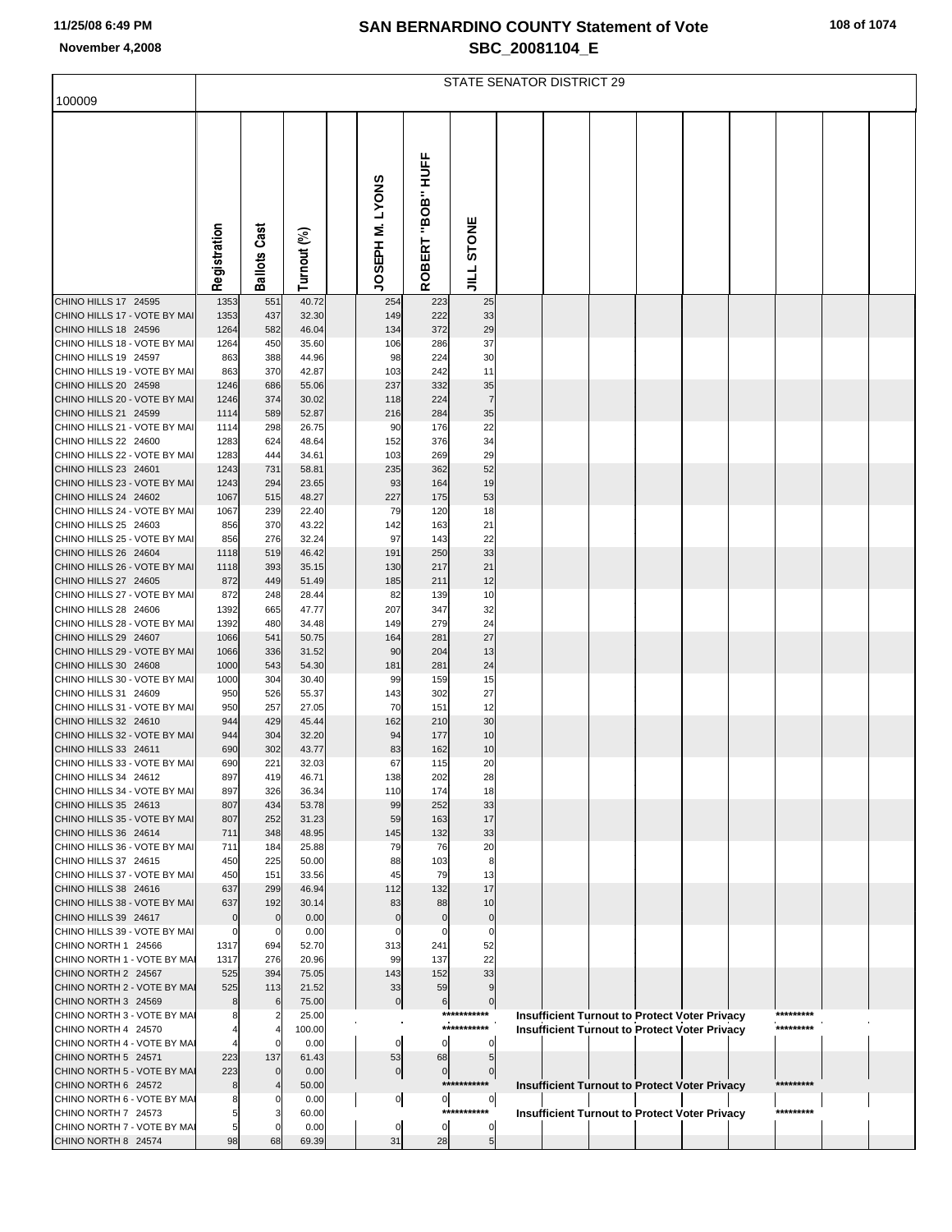|  |  |  |  | 108 of 1074 |
|--|--|--|--|-------------|
|--|--|--|--|-------------|

|                                                      | <b>STATE SENATOR DISTRICT 29</b> |                               |                |  |                      |                            |                            |  |  |  |  |                                                      |  |           |  |
|------------------------------------------------------|----------------------------------|-------------------------------|----------------|--|----------------------|----------------------------|----------------------------|--|--|--|--|------------------------------------------------------|--|-----------|--|
| 100009                                               |                                  |                               |                |  |                      |                            |                            |  |  |  |  |                                                      |  |           |  |
|                                                      | Registration                     | <b>Ballots Cast</b>           | Turnout (%)    |  | JOSEPH M. LYONS      | "BOB" HUFF<br>ROBERT       | <b>STONE</b><br>$\vec{=}$  |  |  |  |  |                                                      |  |           |  |
| CHINO HILLS 17 24595                                 | 1353                             | 551                           | 40.72          |  | 254                  | 223                        | 25                         |  |  |  |  |                                                      |  |           |  |
| CHINO HILLS 17 - VOTE BY MAI<br>CHINO HILLS 18 24596 | 1353<br>1264                     | 437<br>582                    | 32.30<br>46.04 |  | 149<br>134           | 222<br>372                 | 33<br>29                   |  |  |  |  |                                                      |  |           |  |
| CHINO HILLS 18 - VOTE BY MAI                         | 1264                             | 450                           | 35.60          |  | 106                  | 286                        | 37                         |  |  |  |  |                                                      |  |           |  |
| CHINO HILLS 19 24597                                 | 863                              | 388                           | 44.96          |  | 98                   | 224                        | 30                         |  |  |  |  |                                                      |  |           |  |
| CHINO HILLS 19 - VOTE BY MAI                         | 863                              | 370                           | 42.87          |  | 103                  | 242                        | 11                         |  |  |  |  |                                                      |  |           |  |
| CHINO HILLS 20 24598<br>CHINO HILLS 20 - VOTE BY MAI | 1246<br>1246                     | 686<br>374                    | 55.06<br>30.02 |  | 237<br>118           | 332<br>224                 | 35<br>$\overline{7}$       |  |  |  |  |                                                      |  |           |  |
| CHINO HILLS 21 24599                                 | 1114                             | 589                           | 52.87          |  | 216                  | 284                        | 35                         |  |  |  |  |                                                      |  |           |  |
| CHINO HILLS 21 - VOTE BY MAI                         | 1114                             | 298                           | 26.75          |  | 90                   | 176                        | 22                         |  |  |  |  |                                                      |  |           |  |
| CHINO HILLS 22 24600                                 | 1283                             | 624                           | 48.64          |  | 152                  | 376                        | 34                         |  |  |  |  |                                                      |  |           |  |
| CHINO HILLS 22 - VOTE BY MAI<br>CHINO HILLS 23 24601 | 1283                             | 444                           | 34.61          |  | 103<br>235           | 269                        | 29<br>52                   |  |  |  |  |                                                      |  |           |  |
| CHINO HILLS 23 - VOTE BY MAI                         | 1243<br>1243                     | 731<br>294                    | 58.81<br>23.65 |  | 93                   | 362<br>164                 | 19                         |  |  |  |  |                                                      |  |           |  |
| CHINO HILLS 24 24602                                 | 1067                             | 515                           | 48.27          |  | 227                  | 175                        | 53                         |  |  |  |  |                                                      |  |           |  |
| CHINO HILLS 24 - VOTE BY MAI                         | 1067                             | 239                           | 22.40          |  | 79                   | 120                        | 18                         |  |  |  |  |                                                      |  |           |  |
| CHINO HILLS 25 24603                                 | 856                              | 370                           | 43.22          |  | 142                  | 163                        | 21                         |  |  |  |  |                                                      |  |           |  |
| CHINO HILLS 25 - VOTE BY MAI<br>CHINO HILLS 26 24604 | 856<br>1118                      | 276<br>519                    | 32.24<br>46.42 |  | 97<br>191            | 143<br>250                 | 22<br>33                   |  |  |  |  |                                                      |  |           |  |
| CHINO HILLS 26 - VOTE BY MAI                         | 1118                             | 393                           | 35.15          |  | 130                  | 217                        | 21                         |  |  |  |  |                                                      |  |           |  |
| CHINO HILLS 27 24605                                 | 872                              | 449                           | 51.49          |  | 185                  | 211                        | 12                         |  |  |  |  |                                                      |  |           |  |
| CHINO HILLS 27 - VOTE BY MAI                         | 872                              | 248                           | 28.44          |  | 82                   | 139                        | 10                         |  |  |  |  |                                                      |  |           |  |
| CHINO HILLS 28 24606<br>CHINO HILLS 28 - VOTE BY MAI | 1392<br>1392                     | 665<br>480                    | 47.77<br>34.48 |  | 207<br>149           | 347<br>279                 | 32<br>24                   |  |  |  |  |                                                      |  |           |  |
| CHINO HILLS 29 24607                                 | 1066                             | 541                           | 50.75          |  | 164                  | 281                        | 27                         |  |  |  |  |                                                      |  |           |  |
| CHINO HILLS 29 - VOTE BY MAI                         | 1066                             | 336                           | 31.52          |  | 90                   | 204                        | 13                         |  |  |  |  |                                                      |  |           |  |
| CHINO HILLS 30 24608                                 | 1000                             | 543                           | 54.30          |  | 181                  | 281                        | 24                         |  |  |  |  |                                                      |  |           |  |
| CHINO HILLS 30 - VOTE BY MAI<br>CHINO HILLS 31 24609 | 1000                             | 304                           | 30.40          |  | 99                   | 159                        | 15                         |  |  |  |  |                                                      |  |           |  |
| CHINO HILLS 31 - VOTE BY MAI                         | 950<br>950                       | 526<br>257                    | 55.37<br>27.05 |  | 143<br>70            | 302<br>151                 | 27<br>12                   |  |  |  |  |                                                      |  |           |  |
| CHINO HILLS 32 24610                                 | 944                              | 429                           | 45.44          |  | 162                  | 210                        | 30                         |  |  |  |  |                                                      |  |           |  |
| CHINO HILLS 32 - VOTE BY MAI                         | 944                              | 304                           | 32.20          |  | 94                   | 177                        | 10                         |  |  |  |  |                                                      |  |           |  |
| CHINO HILLS 33 24611                                 | 690                              | 302                           | 43.77          |  | 83                   | 162                        | 10                         |  |  |  |  |                                                      |  |           |  |
| CHINO HILLS 33 - VOTE BY MAI<br>CHINO HILLS 34 24612 | 690<br>897                       | 221<br>419                    | 32.03<br>46.71 |  | 67<br>138            | 115<br>202                 | 20<br>28                   |  |  |  |  |                                                      |  |           |  |
| CHINO HILLS 34 - VOTE BY MAI                         | 897                              | 326                           | 36.34          |  | 110                  | 174                        | 18                         |  |  |  |  |                                                      |  |           |  |
| CHINO HILLS 35 24613                                 | 807                              | 434                           | 53.78          |  | 99                   | 252                        | 33                         |  |  |  |  |                                                      |  |           |  |
| CHINO HILLS 35 - VOTE BY MAI                         | 807                              | 252                           | 31.23          |  | 59                   | 163                        | 17                         |  |  |  |  |                                                      |  |           |  |
| CHINO HILLS 36 24614                                 | 711                              | 348                           | 48.95          |  | 145                  | 132                        | 33                         |  |  |  |  |                                                      |  |           |  |
| CHINO HILLS 36 - VOTE BY MAI<br>CHINO HILLS 37 24615 | 711<br>450                       | 184<br>225                    | 25.88<br>50.00 |  | 79<br>88             | 76<br>103                  | 20<br>8                    |  |  |  |  |                                                      |  |           |  |
| CHINO HILLS 37 - VOTE BY MAI                         | 450                              | 151                           | 33.56          |  | 45                   | 79                         | 13                         |  |  |  |  |                                                      |  |           |  |
| CHINO HILLS 38 24616                                 | 637                              | 299                           | 46.94          |  | 112                  | 132                        | 17                         |  |  |  |  |                                                      |  |           |  |
| CHINO HILLS 38 - VOTE BY MAI                         | 637                              | 192                           | 30.14          |  | 83                   | 88                         | 10                         |  |  |  |  |                                                      |  |           |  |
| CHINO HILLS 39 24617<br>CHINO HILLS 39 - VOTE BY MAI | $\Omega$                         | $\mathbf 0$<br>0              | 0.00<br>0.00   |  | $\mathbf{0}$<br>0    | $\mathbf 0$<br>$\mathbf 0$ | $\mathbf 0$<br>$\Omega$    |  |  |  |  |                                                      |  |           |  |
| CHINO NORTH 1 24566                                  | 1317                             | 694                           | 52.70          |  | 313                  | 241                        | 52                         |  |  |  |  |                                                      |  |           |  |
| CHINO NORTH 1 - VOTE BY MA                           | 1317                             | 276                           | 20.96          |  | 99                   | 137                        | 22                         |  |  |  |  |                                                      |  |           |  |
| CHINO NORTH 2 24567                                  | 525                              | 394                           | 75.05          |  | 143                  | 152                        | 33                         |  |  |  |  |                                                      |  |           |  |
| CHINO NORTH 2 - VOTE BY MAI<br>CHINO NORTH 3 24569   | 525                              | 113<br>$\,6$                  | 21.52<br>75.00 |  | 33<br>$\overline{0}$ | 59                         | 9<br>$\mathbf 0$           |  |  |  |  |                                                      |  |           |  |
| CHINO NORTH 3 - VOTE BY MAI                          |                                  | $\overline{2}$                | 25.00          |  |                      | 6                          | ***********                |  |  |  |  | <b>Insufficient Turnout to Protect Voter Privacy</b> |  | ********* |  |
| CHINO NORTH 4 24570                                  |                                  |                               | 100.00         |  |                      |                            | ***********                |  |  |  |  | <b>Insufficient Turnout to Protect Voter Privacy</b> |  | ********* |  |
| CHINO NORTH 4 - VOTE BY MAI                          |                                  | $\Omega$                      | 0.00           |  | $\mathbf{0}$         | $\mathbf 0$                | 0                          |  |  |  |  |                                                      |  |           |  |
| CHINO NORTH 5 24571                                  | 223                              | 137                           | 61.43          |  | 53                   | 68                         | 5                          |  |  |  |  |                                                      |  |           |  |
| CHINO NORTH 5 - VOTE BY MAI<br>CHINO NORTH 6 24572   | 223<br>8                         | $\mathbf 0$<br>$\overline{4}$ | 0.00<br>50.00  |  | $\overline{0}$       | 0                          | $\mathbf 0$<br>*********** |  |  |  |  | Insufficient Turnout to Protect Voter Privacy        |  | ********* |  |
| CHINO NORTH 6 - VOTE BY MAI                          |                                  | 0                             | 0.00           |  | 이                    | $\overline{0}$             | $\overline{0}$             |  |  |  |  |                                                      |  |           |  |
| CHINO NORTH 7 24573                                  |                                  | 3                             | 60.00          |  |                      |                            | ***********                |  |  |  |  | <b>Insufficient Turnout to Protect Voter Privacy</b> |  | ********* |  |
| CHINO NORTH 7 - VOTE BY MAI                          |                                  |                               | 0.00           |  | 0                    | 0                          | 0                          |  |  |  |  |                                                      |  |           |  |
| CHINO NORTH 8 24574                                  | 98                               | 68                            | 69.39          |  | 31                   | 28                         | 5 <sub>5</sub>             |  |  |  |  |                                                      |  |           |  |